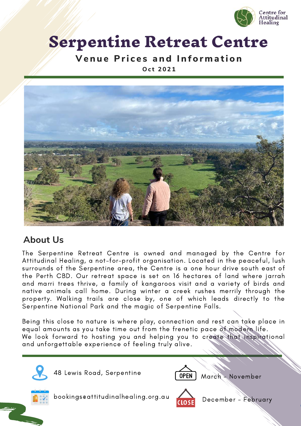

# **Serpentine Retreat Centre**

#### **V e n u e Pr i c e s a n d I n f o r m a ti o n O c t 2 0 2 1**



#### **About Us**

The Serpentine Retreat Centre is owned and managed by the Centre for Attitudinal Healing, a not-for-profit organisation. Located in the peaceful, lush surrounds of the Serpentine area, the Centre is a one hour drive south east of the Perth CBD. Our retreat space is set on 16 hectares of land where jarrah and marri trees thrive, a family of kangaroos visit and a variety of birds and native animals call home. During winter a creek rushes merrily through the property. Walking trails are close by, one of which leads directly to the Serpentine National Park and the magic of Serpentine Falls.

Being this close to nature is where play, connection and rest can take place in equal amounts as you take time out from the frenetic pace of modern life. We look forward to hosting you and helping you to create that inspirational and unforgettable experience of feeling truly alive.



48 Lewis Road, Serpentine **The COPEN** March - November





bookings@attitudinalhealing.org.au



December - February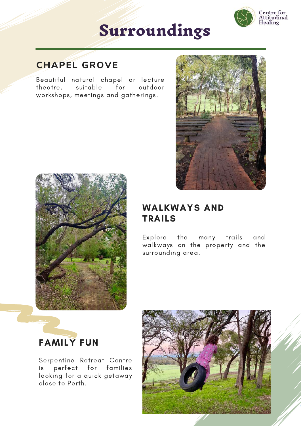## **Surroundings**



#### **CHAPEL GROVE**

Beautiful natural chapel or lecture theatre, suitable for outdoor workshops, meetings and gatherings.





#### WALKWAYS AND TRAILS

Explore the many trails and walkways on the property and the surrounding area.

### FAMILY FUN

Serpentine Retreat Centre is perfect for families looking for a quick getaway close to Perth.

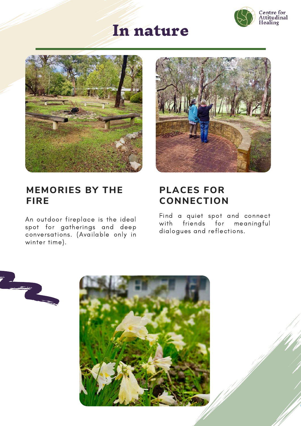

### **In nature**



#### **MEMORIES BY THE FIRE**

An outdoor fireplace is the ideal spot for gatherings and deep conversations. (Available only in winter time).



#### **PLACES FOR CONNECTION**

Find a quiet spot and connect with friends for meaningful dialogues and reflections.



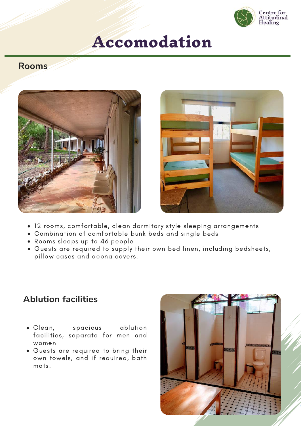

### **Accomodation**

#### **Rooms**





- 12 rooms, comfortable, clean dormitory style sleeping arrangements
- Combination of comfortable bunk beds and single beds
- Rooms sleeps up to 46 people
- Guests are required to supply their own bed linen, including bedsheets, pillow cases and doona covers.

#### **Ablution facilities**

- Clean, spacious ablution facilities, separate for men and women
- Guests are required to bring their own towels, and if required, bath mats.

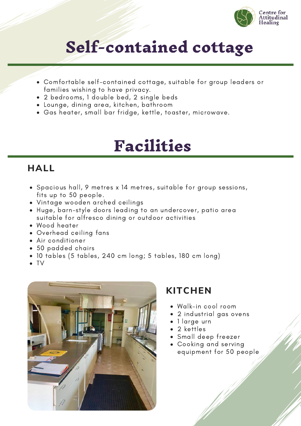

# **Self-contained cottage**

- Comfortable self-contained cottage, suitable for group leaders or families wishing to have privacy.
- 2 bedrooms, 1 double bed, 2 single beds
- Lounge, dining area, kitchen, bathroom
- Gas heater, small bar fridge, kettle, toaster, microwave.

## **Facilities**

#### **HALL**

- Spacious hall, 9 metres x 14 metres, suitable for group sessions, fits up to 50 people.
- Vintage wooden arched ceilings
- Huge, barn-style doors leading to an undercover, patio area suitable for alfresco dining or outdoor activities
- Wood heater
- Overhead ceiling fans
- Air conditioner
- 50 padded chairs
- 10 tables (5 tables, 240 cm long; 5 tables, 180 cm long)
- TV



#### **KITCHEN**

- Walk-in cool room
- 2 industrial gas ovens
- 1 large urn
- 2 kettles
- Small deep freezer
- Cooking and serving equipment for 50 people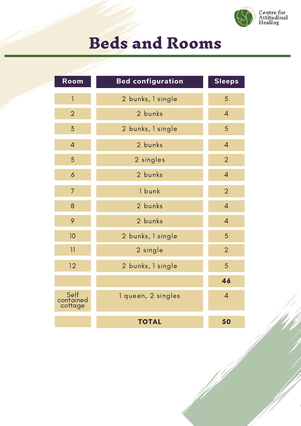

# **Beds and Rooms**

| Room                         | <b>Bed configuration</b> | <b>Sleeps</b>  |
|------------------------------|--------------------------|----------------|
| $\overline{1}$               | 2 bunks, 1 single        | 5              |
| $\overline{2}$               | 2 bunks                  | $\overline{4}$ |
| $\overline{5}$               | 2 bunks, 1 single        | 5              |
| $\overline{4}$               | 2 bunks                  | $\overline{4}$ |
| 5                            | 2 singles                | $\overline{2}$ |
| 6                            | 2 bunks                  | $\overline{4}$ |
| $\overline{7}$               | 1 bunk                   | $\overline{2}$ |
| 8                            | 2 bunks                  | $\overline{4}$ |
| 9                            | 2 bunks                  | $\overline{4}$ |
| 10                           | 2 bunks, 1 single        | 5              |
| 11                           | 2 single                 | $\overline{2}$ |
| 12                           | 2 bunks, 1 single        | 5              |
|                              |                          | 46             |
| Self<br>contained<br>cottage | 1 queen, 2 singles       | $\overline{4}$ |
|                              | <b>TOTAL</b>             | 50             |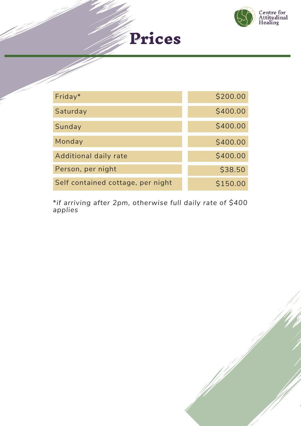



| Friday <sup>*</sup>               | \$200.00 |
|-----------------------------------|----------|
| Saturday                          | \$400.00 |
| Sunday                            | \$400.00 |
| Monday                            | \$400.00 |
| Additional daily rate             | \$400.00 |
| Person, per night                 | \$38.50  |
| Self contained cottage, per night | \$150.00 |

\**if arriving after 2pm, otherwise full daily rate of \$400 applies*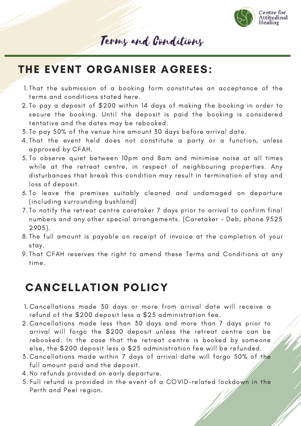

### Terms and Conditions

### THE EVENT ORGANISER AGREES:

- 1.That the submission of a booking form constitutes an acceptance of the terms and conditions stated here.
- 2.To pay a deposit of \$200 within 14 days of making the booking in order to secure the booking. Until the deposit is paid the booking is considered tentative and the dates may be rebooked.
- 3. To pay 50% of the venue hire amount 30 days before arrival date.
- 4.That the event held does not constitute a party or a function, unless approved by CFAH.
- 5.To observe quiet between 10pm and 8am and minimise noise at all times while at the retreat centre, in respect of neighbouring properties. Any disturbances that break this condition may result in termination of stay and loss of deposit.
- 6.To leave the premises suitably cleaned and undamaged on departure (including surrounding bushland)
- 7.To notify the retreat centre caretaker 7 days prior to arrival to confirm final numbers and any other special arrangements. (Caretaker - Deb, phone 9525 2905).
- 8.The full amount is payable on receipt of invoice at the completion of your stay.
- 9.That CFAH reserves the right to amend these Terms and Conditions at any time.

### CANCELLATION POLICY

- Cancellations made 30 days or more from arrival date will receive a 1. refund of the \$200 deposit less a \$25 administration fee.
- Cancellations made less than 30 days and more than 7 days prior to 2. arrival will forgo the \$200 deposit unless the retreat centre can be rebooked. In the case that the retreat centre is booked by someone else, the \$200 deposit less a \$25 administration fee will be refunded.
- 3.Cancellations made within 7 days of arrival date will forgo 50% of the full amount paid and the deposit.
- No refunds provided on early departure. 4.
- 5.Full refund is provided in the event of a COVID-related lockdown in the Perth and Peel region.